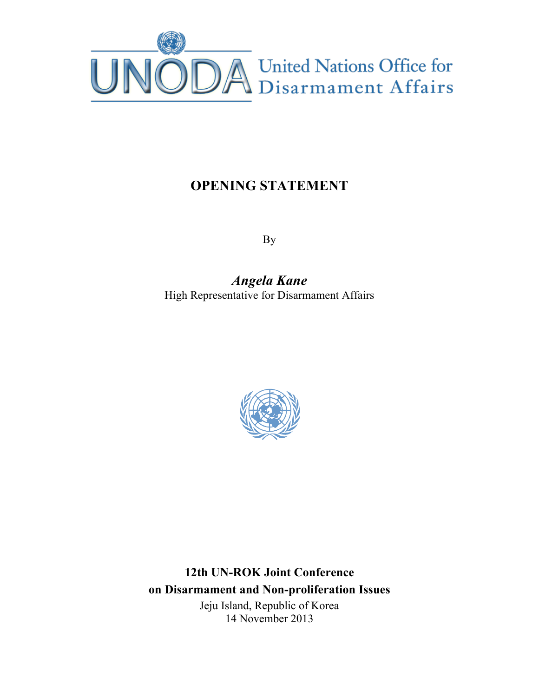

## **OPENING STATEMENT**

By

*Angela Kane* High Representative for Disarmament Affairs



**12th UN-ROK Joint Conference on Disarmament and Non-proliferation Issues** Jeju Island, Republic of Korea 14 November 2013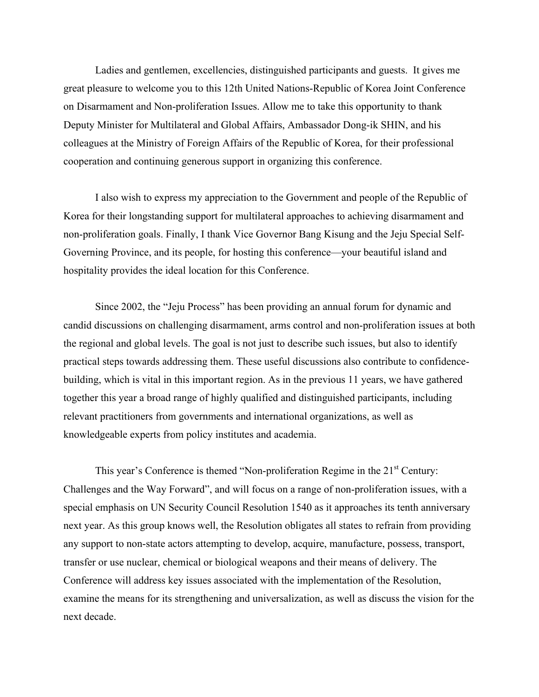Ladies and gentlemen, excellencies, distinguished participants and guests. It gives me great pleasure to welcome you to this 12th United Nations-Republic of Korea Joint Conference on Disarmament and Non-proliferation Issues. Allow me to take this opportunity to thank Deputy Minister for Multilateral and Global Affairs, Ambassador Dong-ik SHIN, and his colleagues at the Ministry of Foreign Affairs of the Republic of Korea, for their professional cooperation and continuing generous support in organizing this conference.

I also wish to express my appreciation to the Government and people of the Republic of Korea for their longstanding support for multilateral approaches to achieving disarmament and non-proliferation goals. Finally, I thank Vice Governor Bang Kisung and the Jeju Special Self-Governing Province, and its people, for hosting this conference—your beautiful island and hospitality provides the ideal location for this Conference.

Since 2002, the "Jeju Process" has been providing an annual forum for dynamic and candid discussions on challenging disarmament, arms control and non-proliferation issues at both the regional and global levels. The goal is not just to describe such issues, but also to identify practical steps towards addressing them. These useful discussions also contribute to confidencebuilding, which is vital in this important region. As in the previous 11 years, we have gathered together this year a broad range of highly qualified and distinguished participants, including relevant practitioners from governments and international organizations, as well as knowledgeable experts from policy institutes and academia.

This year's Conference is themed "Non-proliferation Regime in the 21<sup>st</sup> Century: Challenges and the Way Forward", and will focus on a range of non-proliferation issues, with a special emphasis on UN Security Council Resolution 1540 as it approaches its tenth anniversary next year. As this group knows well, the Resolution obligates all states to refrain from providing any support to non-state actors attempting to develop, acquire, manufacture, possess, transport, transfer or use nuclear, chemical or biological weapons and their means of delivery. The Conference will address key issues associated with the implementation of the Resolution, examine the means for its strengthening and universalization, as well as discuss the vision for the next decade.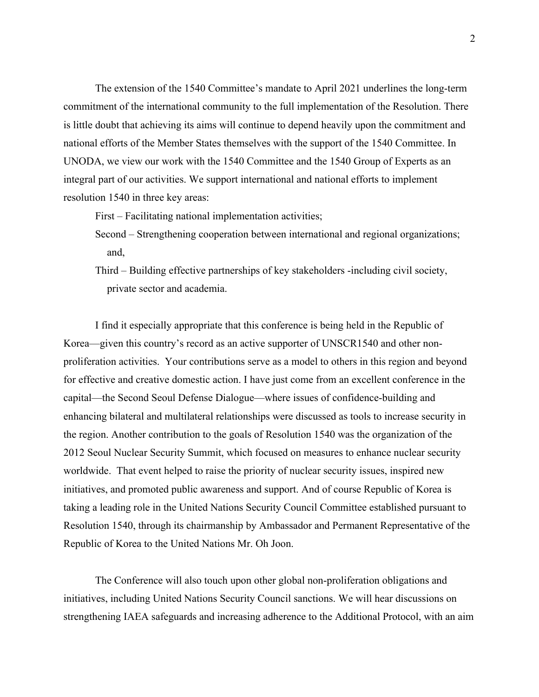The extension of the 1540 Committee's mandate to April 2021 underlines the long-term commitment of the international community to the full implementation of the Resolution. There is little doubt that achieving its aims will continue to depend heavily upon the commitment and national efforts of the Member States themselves with the support of the 1540 Committee. In UNODA, we view our work with the 1540 Committee and the 1540 Group of Experts as an integral part of our activities. We support international and national efforts to implement resolution 1540 in three key areas:

First – Facilitating national implementation activities;

- Second Strengthening cooperation between international and regional organizations; and,
- Third Building effective partnerships of key stakeholders -including civil society, private sector and academia.

I find it especially appropriate that this conference is being held in the Republic of Korea—given this country's record as an active supporter of UNSCR1540 and other nonproliferation activities. Your contributions serve as a model to others in this region and beyond for effective and creative domestic action. I have just come from an excellent conference in the capital—the Second Seoul Defense Dialogue—where issues of confidence-building and enhancing bilateral and multilateral relationships were discussed as tools to increase security in the region. Another contribution to the goals of Resolution 1540 was the organization of the 2012 Seoul Nuclear Security Summit, which focused on measures to enhance nuclear security worldwide. That event helped to raise the priority of nuclear security issues, inspired new initiatives, and promoted public awareness and support. And of course Republic of Korea is taking a leading role in the United Nations Security Council Committee established pursuant to Resolution 1540, through its chairmanship by Ambassador and Permanent Representative of the Republic of Korea to the United Nations Mr. Oh Joon.

The Conference will also touch upon other global non-proliferation obligations and initiatives, including United Nations Security Council sanctions. We will hear discussions on strengthening IAEA safeguards and increasing adherence to the Additional Protocol, with an aim